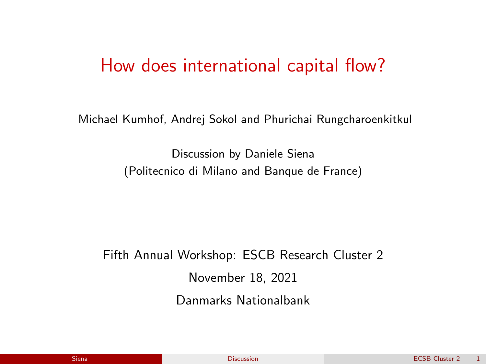#### <span id="page-0-0"></span>How does international capital flow?

Michael Kumhof, Andrej Sokol and Phurichai Rungcharoenkitkul

Discussion by Daniele Siena (Politecnico di Milano and Banque de France)

Fifth Annual Workshop: ESCB Research Cluster 2 November 18, 2021 Danmarks Nationalbank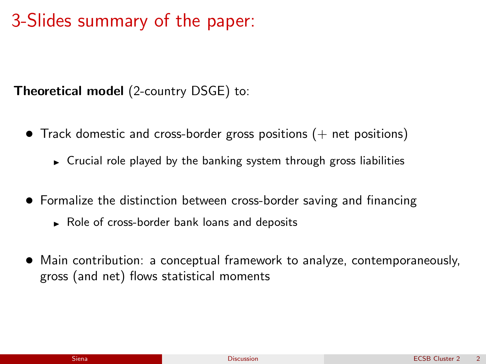#### 3-Slides summary of the paper:

Theoretical model (2-country DSGE) to:

- Track domestic and cross-border gross positions  $(+)$  net positions)
	- $\triangleright$  Crucial role played by the banking system through gross liabilities
- Formalize the distinction between cross-border saving and financing
	- $\triangleright$  Role of cross-border bank loans and deposits
- Main contribution: a conceptual framework to analyze, contemporaneously, gross (and net) flows statistical moments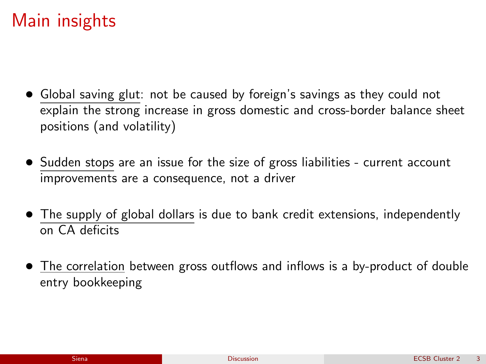#### Main insights

- Global saving glut: not be caused by foreign's savings as they could not explain the strong increase in gross domestic and cross-border balance sheet positions (and volatility)
- Sudden stops are an issue for the size of gross liabilities current account improvements are a consequence, not a driver
- The supply of global dollars is due to bank credit extensions, independently on CA deficits
- The correlation between gross outflows and inflows is a by-product of double entry bookkeeping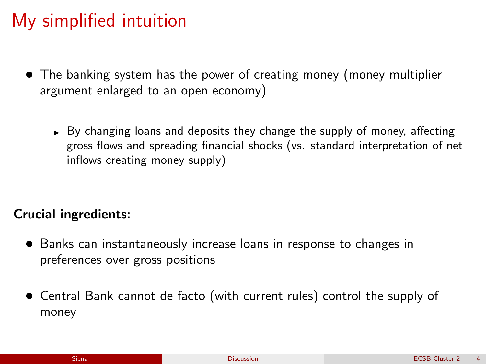## My simplified intuition

- The banking system has the power of creating money (money multiplier argument enlarged to an open economy)
	- $\rightarrow$  By changing loans and deposits they change the supply of money, affecting gross flows and spreading financial shocks (vs. standard interpretation of net inflows creating money supply)

#### Crucial ingredients:

- Banks can instantaneously increase loans in response to changes in preferences over gross positions
- Central Bank cannot de facto (with current rules) control the supply of money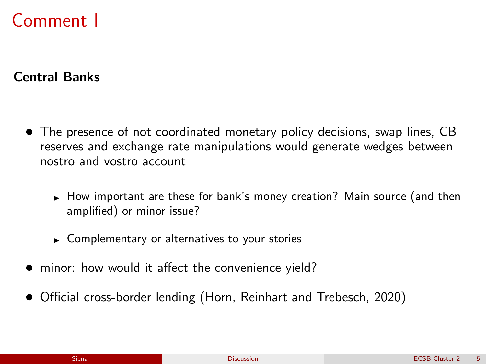### Comment I

Central Banks

- The presence of not coordinated monetary policy decisions, swap lines, CB reserves and exchange rate manipulations would generate wedges between nostro and vostro account
	- How important are these for bank's money creation? Main source (and then amplified) or minor issue?
	- $\triangleright$  Complementary or alternatives to your stories
- minor: how would it affect the convenience yield?
- Official cross-border lending (Horn, Reinhart and Trebesch, 2020)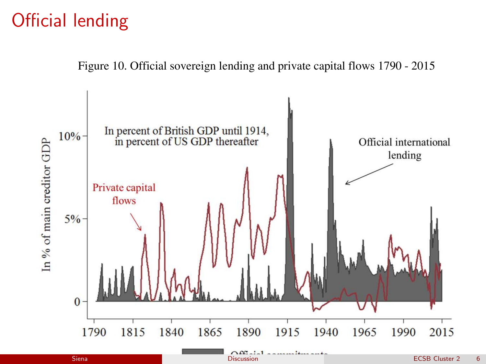### Official lending

Figure 10. Official sovereign lending and private capital flows 1790 - 2015



Siena [Discussion](#page-0-0) Discussion Discussion and Discussion Discussion and Discussion and Discussion Discussion and D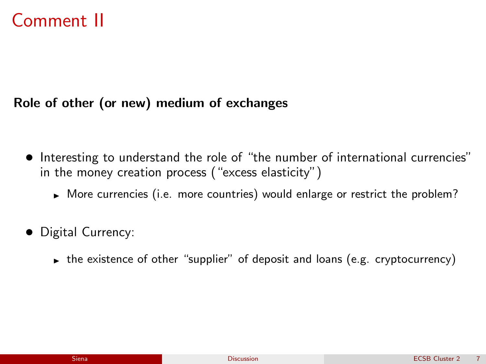## Comment II

#### Role of other (or new) medium of exchanges

- Interesting to understand the role of "the number of international currencies" in the money creation process ("excess elasticity")
	- $\triangleright$  More currencies (i.e. more countries) would enlarge or restrict the problem?
- Digital Currency:
	- $\triangleright$  the existence of other "supplier" of deposit and loans (e.g. cryptocurrency)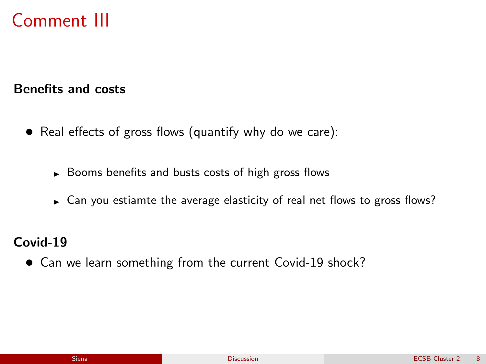# Comment III

Benefits and costs

- Real effects of gross flows (quantify why do we care):
	- $\triangleright$  Booms benefits and busts costs of high gross flows
	- $\triangleright$  Can you estiamte the average elasticity of real net flows to gross flows?

Covid-19

• Can we learn something from the current Covid-19 shock?